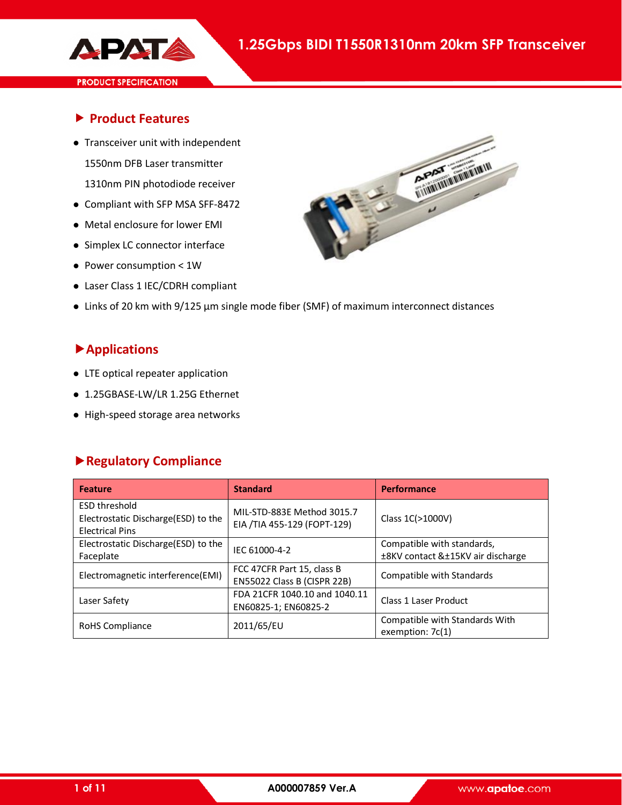

### **Product Features**

- Transceiver unit with independent 1550nm DFB Laser transmitter 1310nm PIN photodiode receiver
- Compliant with SFP MSA SFF-8472
- Metal enclosure for lower EMI
- Simplex LC connector interface
- Power consumption < 1W
- Laser Class 1 IEC/CDRH compliant



### **Applications**

- LTE optical repeater application
- 1.25GBASE-LW/LR 1.25G Ethernet
- High-speed storage area networks

### **Regulatory Compliance**

| <b>Feature</b>                                                                        | <b>Standard</b>                                           | <b>Performance</b>                                              |
|---------------------------------------------------------------------------------------|-----------------------------------------------------------|-----------------------------------------------------------------|
| <b>ESD threshold</b><br>Electrostatic Discharge(ESD) to the<br><b>Electrical Pins</b> | MIL-STD-883E Method 3015.7<br>EIA /TIA 455-129 (FOPT-129) | Class 1C(>1000V)                                                |
| Electrostatic Discharge(ESD) to the<br>Faceplate                                      | IEC 61000-4-2                                             | Compatible with standards,<br>±8KV contact &±15KV air discharge |
| Electromagnetic interference(EMI)                                                     | FCC 47CFR Part 15, class B<br>EN55022 Class B (CISPR 22B) | Compatible with Standards                                       |
| Laser Safety                                                                          | FDA 21CFR 1040.10 and 1040.11<br>EN60825-1; EN60825-2     | <b>Class 1 Laser Product</b>                                    |
| RoHS Compliance                                                                       | 2011/65/EU                                                | Compatible with Standards With<br>exemption: 7c(1)              |

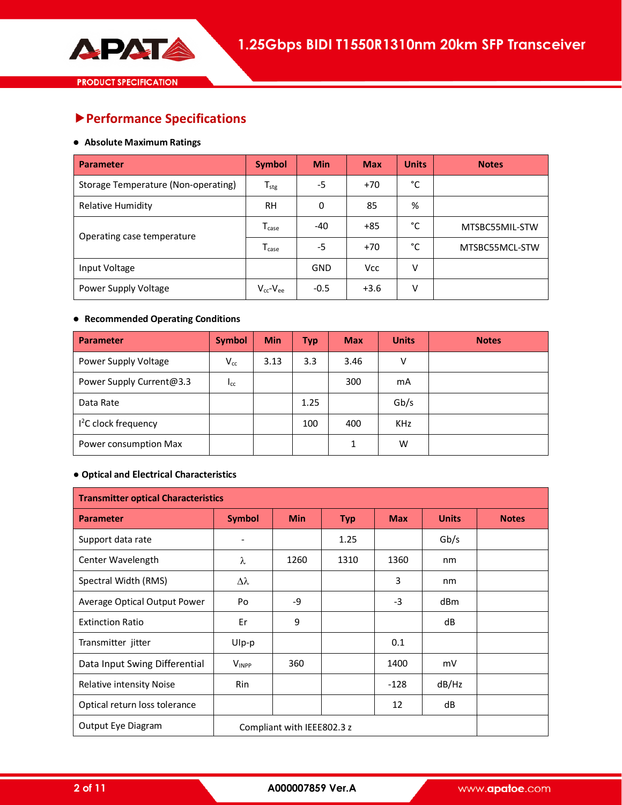# **Performance Specifications**

#### **Absolute Maximum Ratings**

| <b>Parameter</b>                    | <b>Symbol</b>       | <b>Min</b> | <b>Max</b> | <b>Units</b> | <b>Notes</b>   |
|-------------------------------------|---------------------|------------|------------|--------------|----------------|
| Storage Temperature (Non-operating) | $T_{\sf stg}$       | -5         | $+70$      | °C           |                |
| <b>Relative Humidity</b>            | RH                  | 0          | 85         | %            |                |
| Operating case temperature          | $T_{\text{case}}$   | $-40$      | $+85$      | °C           | MTSBC55MIL-STW |
|                                     | $T_{\text{case}}$   | -5         | $+70$      | °C           | MTSBC55MCL-STW |
| Input Voltage                       |                     | <b>GND</b> | <b>Vcc</b> | $\vee$       |                |
| Power Supply Voltage                | $V_{cc}$ - $V_{ee}$ | $-0.5$     | $+3.6$     | v            |                |

### **Recommended Operating Conditions**

| Parameter                        | <b>Symbol</b>          | <b>Min</b> | <b>Typ</b> | <b>Max</b> | <b>Units</b> | <b>Notes</b> |
|----------------------------------|------------------------|------------|------------|------------|--------------|--------------|
| Power Supply Voltage             | $V_{cc}$               | 3.13       | 3.3        | 3.46       | v            |              |
| Power Supply Current@3.3         | <b>I</b> <sub>CC</sub> |            |            | 300        | mA           |              |
| Data Rate                        |                        |            | 1.25       |            | Gb/s         |              |
| I <sup>2</sup> C clock frequency |                        |            | 100        | 400        | <b>KHz</b>   |              |
| Power consumption Max            |                        |            |            |            | W            |              |

### **● Optical and Electrical Characteristics**

| <b>Transmitter optical Characteristics</b> |                          |                            |            |            |              |              |  |  |
|--------------------------------------------|--------------------------|----------------------------|------------|------------|--------------|--------------|--|--|
| <b>Parameter</b>                           | <b>Symbol</b>            | <b>Min</b>                 | <b>Typ</b> | <b>Max</b> | <b>Units</b> | <b>Notes</b> |  |  |
| Support data rate                          | $\overline{\phantom{a}}$ |                            | 1.25       |            | Gb/s         |              |  |  |
| Center Wavelength                          | λ                        | 1260                       | 1310       | 1360       | nm           |              |  |  |
| Spectral Width (RMS)                       | Δλ                       |                            |            | 3          | nm           |              |  |  |
| Average Optical Output Power               | Po                       | -9                         |            | $-3$       | dBm          |              |  |  |
| <b>Extinction Ratio</b>                    | Er                       | 9                          |            |            | dB           |              |  |  |
| Transmitter jitter                         | Ulp-p                    |                            |            | 0.1        |              |              |  |  |
| Data Input Swing Differential              | <b>VINPP</b>             | 360                        |            | 1400       | mV           |              |  |  |
| Relative intensity Noise                   | Rin                      |                            |            | $-128$     | dB/Hz        |              |  |  |
| Optical return loss tolerance              |                          |                            |            | 12         | dB           |              |  |  |
| Output Eye Diagram                         |                          | Compliant with IEEE802.3 z |            |            |              |              |  |  |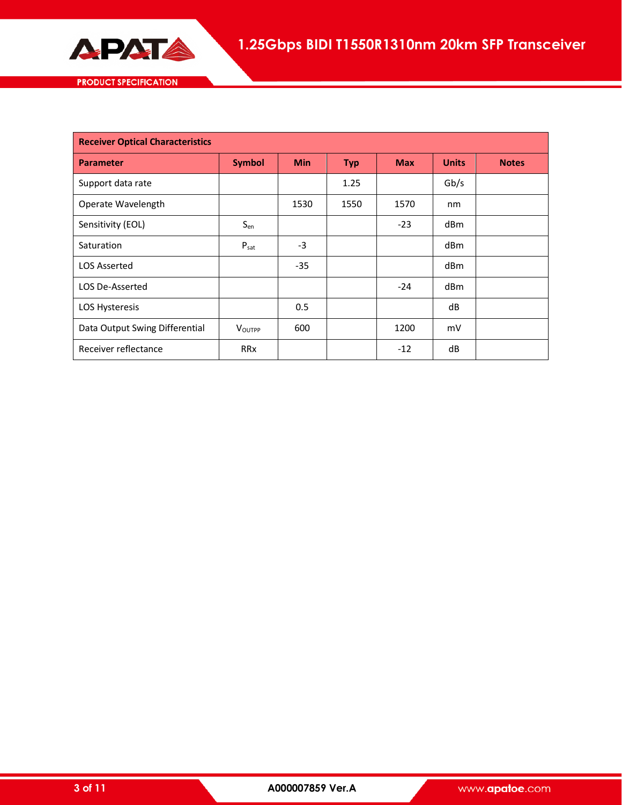

| <b>PRODUCT SPECIFICATION</b> |  |  |
|------------------------------|--|--|
|                              |  |  |

| <b>Receiver Optical Characteristics</b> |                  |            |            |            |                 |              |
|-----------------------------------------|------------------|------------|------------|------------|-----------------|--------------|
| <b>Parameter</b>                        | <b>Symbol</b>    | <b>Min</b> | <b>Typ</b> | <b>Max</b> | <b>Units</b>    | <b>Notes</b> |
| Support data rate                       |                  |            | 1.25       |            | Gb/s            |              |
| Operate Wavelength                      |                  | 1530       | 1550       | 1570       | nm              |              |
| Sensitivity (EOL)                       | $S_{en}$         |            |            | $-23$      | dBm             |              |
| Saturation                              | $P_{\text{sat}}$ | $-3$       |            |            | dBm             |              |
| <b>LOS Asserted</b>                     |                  | $-35$      |            |            | dBm             |              |
| <b>LOS De-Asserted</b>                  |                  |            |            | $-24$      | dB <sub>m</sub> |              |
| LOS Hysteresis                          |                  | 0.5        |            |            | dB              |              |
| Data Output Swing Differential          | <b>VOUTPP</b>    | 600        |            | 1200       | mV              |              |
| Receiver reflectance                    | <b>RRx</b>       |            |            | $-12$      | dB              |              |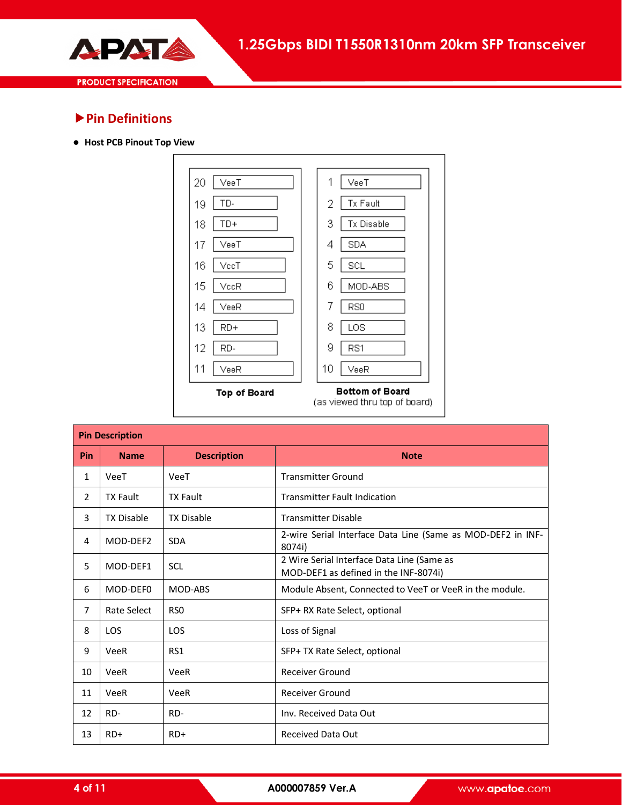

### **Pin Definitions**

**Host PCB Pinout Top View**



|                | <b>Pin Description</b> |                    |                                                                                     |  |  |  |
|----------------|------------------------|--------------------|-------------------------------------------------------------------------------------|--|--|--|
| Pin            | <b>Name</b>            | <b>Description</b> | <b>Note</b>                                                                         |  |  |  |
| 1              | VeeT                   | VeeT               | <b>Transmitter Ground</b>                                                           |  |  |  |
| $\overline{2}$ | <b>TX Fault</b>        | <b>TX Fault</b>    | <b>Transmitter Fault Indication</b>                                                 |  |  |  |
| 3              | <b>TX Disable</b>      | <b>TX Disable</b>  | <b>Transmitter Disable</b>                                                          |  |  |  |
| 4              | MOD-DEF2               | <b>SDA</b>         | 2-wire Serial Interface Data Line (Same as MOD-DEF2 in INF-<br>8074i)               |  |  |  |
| 5              | MOD-DEF1               | <b>SCL</b>         | 2 Wire Serial Interface Data Line (Same as<br>MOD-DEF1 as defined in the INF-8074i) |  |  |  |
| 6              | MOD-DEF0               | MOD-ABS            | Module Absent, Connected to VeeT or VeeR in the module.                             |  |  |  |
| 7              | Rate Select            | RS <sub>0</sub>    | SFP+ RX Rate Select, optional                                                       |  |  |  |
| 8              | <b>LOS</b>             | LOS                | Loss of Signal                                                                      |  |  |  |
| 9              | VeeR                   | RS1                | SFP+ TX Rate Select, optional                                                       |  |  |  |
| 10             | <b>VeeR</b>            | <b>VeeR</b>        | <b>Receiver Ground</b>                                                              |  |  |  |
| 11             | VeeR                   | <b>VeeR</b>        | <b>Receiver Ground</b>                                                              |  |  |  |
| 12             | RD-                    | RD-                | Inv. Received Data Out                                                              |  |  |  |
| 13             | $RD+$                  | $RD+$              | <b>Received Data Out</b>                                                            |  |  |  |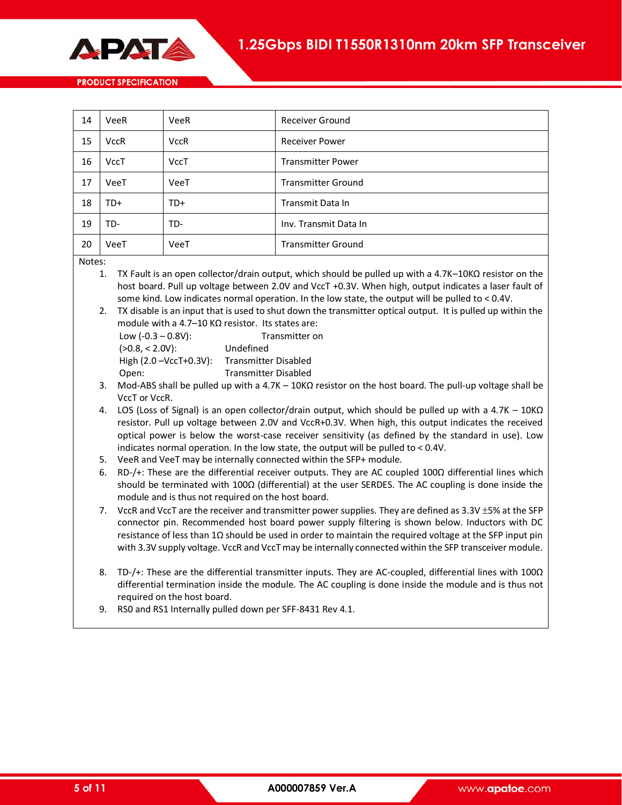

| 14 | VeeR        | VeeR        | <b>Receiver Ground</b>    |
|----|-------------|-------------|---------------------------|
| 15 | <b>VccR</b> | <b>VccR</b> | <b>Receiver Power</b>     |
| 16 | VccT        | <b>VccT</b> | <b>Transmitter Power</b>  |
| 17 | VeeT        | VeeT        | <b>Transmitter Ground</b> |
| 18 | TD+         | TD+         | Transmit Data In          |
| 19 | TD-         | TD-         | Inv. Transmit Data In     |
| 20 | VeeT        | VeeT        | <b>Transmitter Ground</b> |

Notes:

- 1. TX Fault is an open collector/drain output, which should be pulled up with a 4.7K–10KΩ resistor on the host board. Pull up voltage between 2.0V and VccT +0.3V. When high, output indicates a laser fault of some kind. Low indicates normal operation. In the low state, the output will be pulled to < 0.4V.
- 2. TX disable is an input that is used to shut down the transmitter optical output. It is pulled up within the module with a 4.7–10 KΩ resistor. Its states are:

| Low $(-0.3 - 0.8V)$ :        | Transmitter on              |
|------------------------------|-----------------------------|
| $(>0.8, < 2.0V)$ :           | Undefined                   |
| High $(2.0 - VccT + 0.3V)$ : | <b>Transmitter Disabled</b> |
| Open:                        | <b>Transmitter Disabled</b> |

- 3. Mod-ABS shall be pulled up with a 4.7K 10KΩ resistor on the host board. The pull-up voltage shall be VccT or VccR.
- 4. LOS (Loss of Signal) is an open collector/drain output, which should be pulled up with a 4.7K 10KΩ resistor. Pull up voltage between 2.0V and VccR+0.3V. When high, this output indicates the received optical power is below the worst-case receiver sensitivity (as defined by the standard in use). Low indicates normal operation. In the low state, the output will be pulled to < 0.4V.
- 5. VeeR and VeeT may be internally connected within the SFP+ module.
- 6. RD-/+: These are the differential receiver outputs. They are AC coupled 100Ω differential lines which should be terminated with 100Ω (differential) at the user SERDES. The AC coupling is done inside the module and is thus not required on the host board.
- 7. VccR and VccT are the receiver and transmitter power supplies. They are defined as  $3.3V \pm 5%$  at the SFP connector pin. Recommended host board power supply filtering is shown below. Inductors with DC resistance of less than 1Ω should be used in order to maintain the required voltage at the SFP input pin with 3.3V supply voltage. VccR and VccT may be internally connected within the SFP transceiver module.
- 8. TD-/+: These are the differential transmitter inputs. They are AC-coupled, differential lines with 100Ω differential termination inside the module. The AC coupling is done inside the module and is thus not required on the host board.
- 9. RS0 and RS1 Internally pulled down per SFF-8431 Rev 4.1.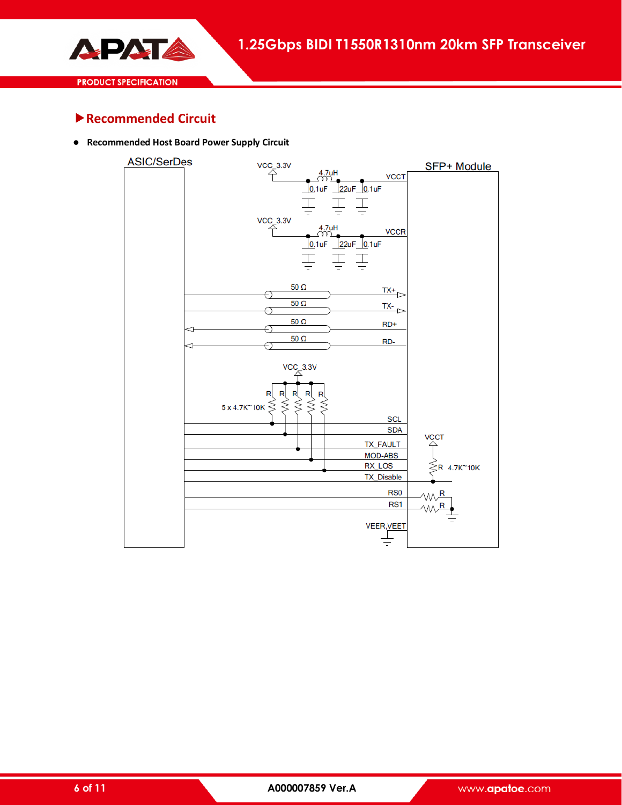

## **Recommended Circuit**

**Recommended Host Board Power Supply Circuit**

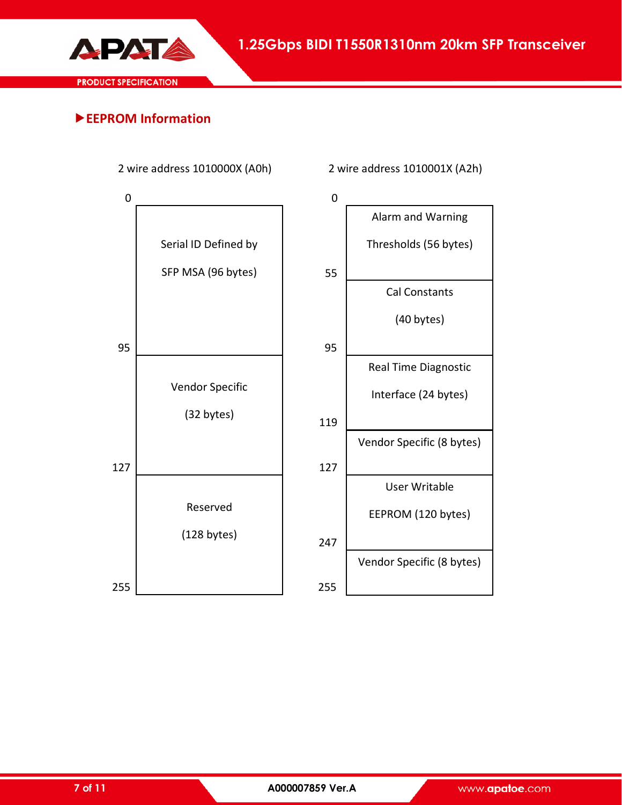

**EEPROM Information**



2 wire address 1010000X (A0h) 2 wire address 1010001X (A2h)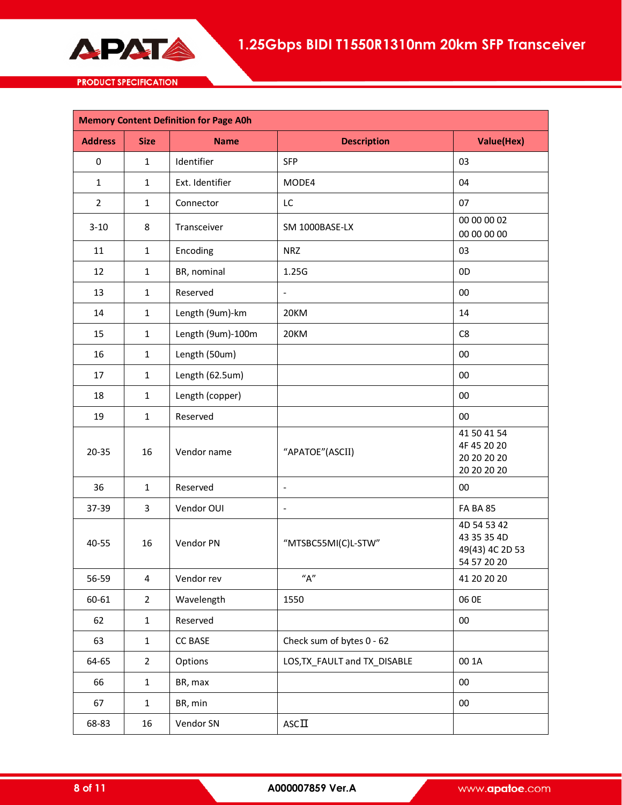

| <b>Memory Content Definition for Page A0h</b> |                |                   |                              |                                                              |  |  |
|-----------------------------------------------|----------------|-------------------|------------------------------|--------------------------------------------------------------|--|--|
| <b>Address</b>                                | <b>Size</b>    | <b>Name</b>       | <b>Description</b>           | <b>Value(Hex)</b>                                            |  |  |
| 0                                             | $\mathbf{1}$   | Identifier        | <b>SFP</b>                   | 03                                                           |  |  |
| $\mathbf{1}$                                  | $\mathbf{1}$   | Ext. Identifier   | MODE4                        | 04                                                           |  |  |
| $\overline{2}$                                | $\mathbf{1}$   | Connector         | LC                           | 07                                                           |  |  |
| $3 - 10$                                      | 8              | Transceiver       | SM 1000BASE-LX               | 00 00 00 02<br>00 00 00 00                                   |  |  |
| 11                                            | $\mathbf{1}$   | Encoding          | <b>NRZ</b>                   | 03                                                           |  |  |
| 12                                            | $\mathbf{1}$   | BR, nominal       | 1.25G                        | 0D                                                           |  |  |
| 13                                            | $\mathbf{1}$   | Reserved          | $\overline{\phantom{a}}$     | 00                                                           |  |  |
| 14                                            | $\mathbf{1}$   | Length (9um)-km   | 20KM                         | 14                                                           |  |  |
| 15                                            | $\mathbf{1}$   | Length (9um)-100m | 20KM                         | C8                                                           |  |  |
| 16                                            | $\mathbf{1}$   | Length (50um)     |                              | 00                                                           |  |  |
| 17                                            | $\mathbf{1}$   | Length (62.5um)   |                              | 00                                                           |  |  |
| 18                                            | $\mathbf{1}$   | Length (copper)   |                              | 00                                                           |  |  |
| 19                                            | $\mathbf{1}$   | Reserved          |                              | 00                                                           |  |  |
| $20 - 35$                                     | 16             | Vendor name       | "APATOE"(ASCII)              | 41 50 41 54<br>4F 45 20 20<br>20 20 20 20<br>20 20 20 20     |  |  |
| 36                                            | $\mathbf{1}$   | Reserved          | $\blacksquare$               | 00                                                           |  |  |
| 37-39                                         | 3              | Vendor OUI        |                              | <b>FA BA 85</b>                                              |  |  |
| 40-55                                         | 16             | Vendor PN         | "MTSBC55MI(C)L-STW"          | 4D 54 53 42<br>43 35 35 4D<br>49(43) 4C 2D 53<br>54 57 20 20 |  |  |
| 56-59                                         | 4              | Vendor rev        | "A"                          | 41 20 20 20                                                  |  |  |
| 60-61                                         | $\overline{2}$ | Wavelength        | 1550                         | 06 OE                                                        |  |  |
| 62                                            | $\mathbf 1$    | Reserved          |                              | 00                                                           |  |  |
| 63                                            | $\mathbf{1}$   | CC BASE           | Check sum of bytes 0 - 62    |                                                              |  |  |
| 64-65                                         | $\overline{2}$ | Options           | LOS, TX_FAULT and TX_DISABLE | 00 1A                                                        |  |  |
| 66                                            | $\mathbf{1}$   | BR, max           |                              | 00                                                           |  |  |
| 67                                            | $\mathbf 1$    | BR, min           |                              | 00                                                           |  |  |
| 68-83                                         | 16             | Vendor SN         | $\mathsf{ASC}\Pi$            |                                                              |  |  |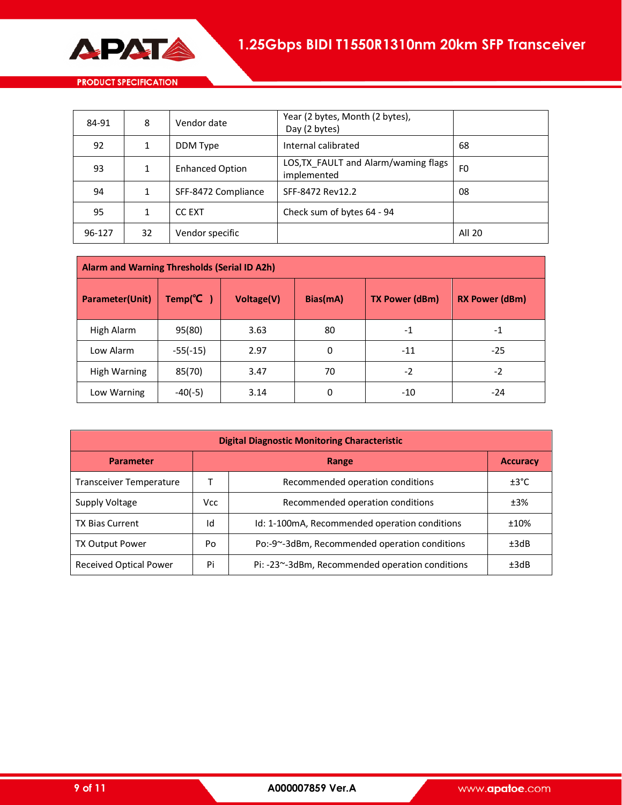

| 84-91  | 8  | Vendor date            | Year (2 bytes, Month (2 bytes),<br>Day (2 bytes)    |        |
|--------|----|------------------------|-----------------------------------------------------|--------|
| 92     |    | DDM Type               | Internal calibrated                                 | 68     |
| 93     |    | <b>Enhanced Option</b> | LOS, TX FAULT and Alarm/waming flags<br>implemented | F0     |
| 94     |    | SFF-8472 Compliance    | SFF-8472 Rev12.2                                    | 08     |
| 95     | 1  | <b>CC EXT</b>          | Check sum of bytes 64 - 94                          |        |
| 96-127 | 32 | Vendor specific        |                                                     | All 20 |

| Alarm and Warning Thresholds (Serial ID A2h) |                       |            |          |                       |                       |  |  |
|----------------------------------------------|-----------------------|------------|----------|-----------------------|-----------------------|--|--|
| Parameter(Unit)                              | Temp( ${}^{\circ}C$ ) | Voltage(V) | Bias(mA) | <b>TX Power (dBm)</b> | <b>RX Power (dBm)</b> |  |  |
| High Alarm                                   | 95(80)                | 3.63       | 80       | $-1$                  | $-1$                  |  |  |
| Low Alarm                                    | $-55(-15)$            | 2.97       | 0        | $-11$                 | $-25$                 |  |  |
| <b>High Warning</b>                          | 85(70)                | 3.47       | 70       | $-2$                  | $-2$                  |  |  |
| Low Warning                                  | $-40(-5)$             | 3.14       | 0        | $-10$                 | $-24$                 |  |  |

| <b>Digital Diagnostic Monitoring Characteristic</b> |      |                                                         |                 |  |  |  |
|-----------------------------------------------------|------|---------------------------------------------------------|-----------------|--|--|--|
| <b>Parameter</b>                                    |      | <b>Range</b>                                            | <b>Accuracy</b> |  |  |  |
| <b>Transceiver Temperature</b>                      |      | Recommended operation conditions                        | ±3°C            |  |  |  |
| Supply Voltage                                      | Vcc. | Recommended operation conditions                        | ±3%             |  |  |  |
| <b>TX Bias Current</b>                              | Id   | Id: 1-100mA, Recommended operation conditions           | ±10%            |  |  |  |
| <b>TX Output Power</b>                              | Po   | Po:-9~-3dBm, Recommended operation conditions<br>±3dB   |                 |  |  |  |
| <b>Received Optical Power</b>                       | Pi   | Pi: -23~-3dBm, Recommended operation conditions<br>±3dB |                 |  |  |  |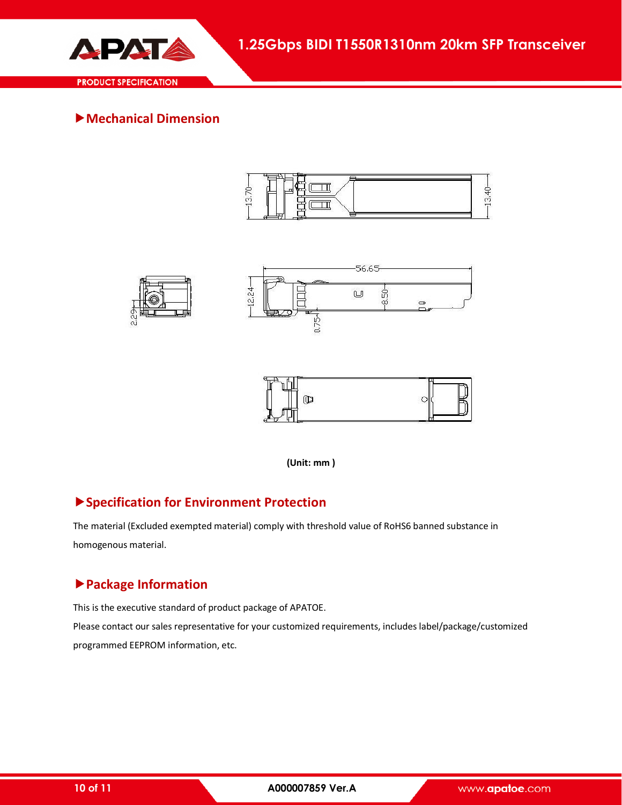

**Mechanical Dimension** 









**(Unit: mm )**

## **Specification for Environment Protection**

The material (Excluded exempted material) comply with threshold value of RoHS6 banned substance in homogenous material.

## **Package Information**

This is the executive standard of product package of APATOE. Please contact our sales representative for your customized requirements, includes label/package/customized programmed EEPROM information, etc.